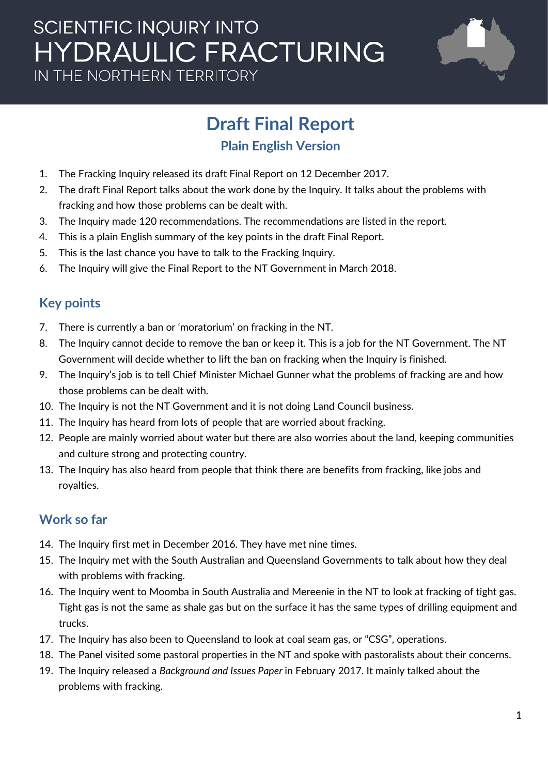# **SCIENTIFIC INQUIRY INTO HYDRAULIC FRACTURING** IN THE NORTHERN TERRITORY



# **Draft Final Report**

## **Plain English Version**

- 1. The Fracking Inquiry released its draft Final Report on 12 December 2017.
- 2. The draft Final Report talks about the work done by the Inquiry. It talks about the problems with fracking and how those problems can be dealt with.
- 3. The Inquiry made 120 recommendations. The recommendations are listed in the report.
- 4. This is a plain English summary of the key points in the draft Final Report.
- 5. This is the last chance you have to talk to the Fracking Inquiry.
- 6. The Inquiry will give the Final Report to the NT Government in March 2018.

# **Key points**

- 7. There is currently a ban or 'moratorium' on fracking in the NT.
- 8. The Inquiry cannot decide to remove the ban or keep it. This is a job for the NT Government. The NT Government will decide whether to lift the ban on fracking when the Inquiry is finished.
- 9. The Inquiry's job is to tell Chief Minister Michael Gunner what the problems of fracking are and how those problems can be dealt with.
- 10. The Inquiry is not the NT Government and it is not doing Land Council business.
- 11. The Inquiry has heard from lots of people that are worried about fracking.
- 12. People are mainly worried about water but there are also worries about the land, keeping communities and culture strong and protecting country.
- 13. The Inquiry has also heard from people that think there are benefits from fracking, like jobs and royalties.

# **Work so far**

- 14. The Inquiry first met in December 2016. They have met nine times.
- 15. The Inquiry met with the South Australian and Queensland Governments to talk about how they deal with problems with fracking.
- 16. The Inquiry went to Moomba in South Australia and Mereenie in the NT to look at fracking of tight gas. Tight gas is not the same as shale gas but on the surface it has the same types of drilling equipment and trucks.
- 17. The Inquiry has also been to Queensland to look at coal seam gas, or "CSG", operations.
- 18. The Panel visited some pastoral properties in the NT and spoke with pastoralists about their concerns.
- 19. The Inquiry released a *Background and Issues Paper* in February 2017. It mainly talked about the problems with fracking.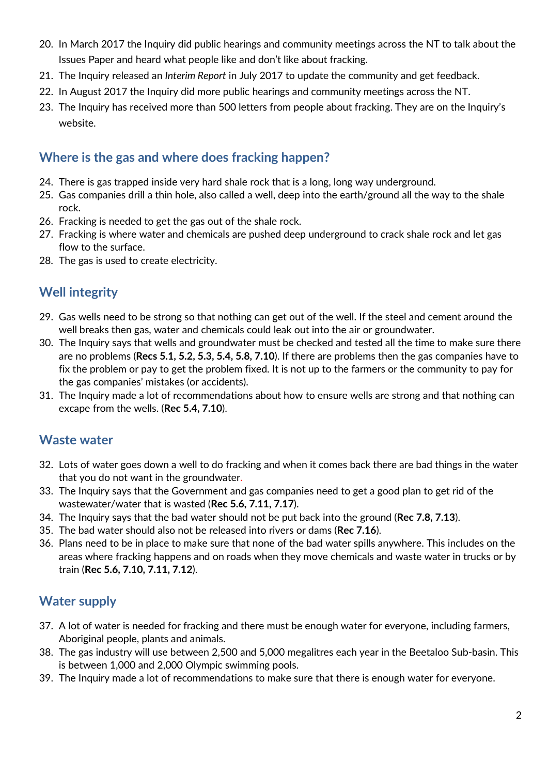- 20. In March 2017 the Inquiry did public hearings and community meetings across the NT to talk about the Issues Paper and heard what people like and don't like about fracking.
- 21. The Inquiry released an *Interim Report* in July 2017 to update the community and get feedback.
- 22. In August 2017 the Inquiry did more public hearings and community meetings across the NT.
- 23. The Inquiry has received more than 500 letters from people about fracking. They are on the Inquiry's website.

#### **Where is the gas and where does fracking happen?**

- 24. There is gas trapped inside very hard shale rock that is a long, long way underground.
- 25. Gas companies drill a thin hole, also called a well, deep into the earth/ground all the way to the shale rock.
- 26. Fracking is needed to get the gas out of the shale rock.
- 27. Fracking is where water and chemicals are pushed deep underground to crack shale rock and let gas flow to the surface.
- 28. The gas is used to create electricity.

# **Well integrity**

- 29. Gas wells need to be strong so that nothing can get out of the well. If the steel and cement around the well breaks then gas, water and chemicals could leak out into the air or groundwater.
- 30. The Inquiry says that wells and groundwater must be checked and tested all the time to make sure there are no problems (**Recs 5.1, 5.2, 5.3, 5.4, 5.8, 7.10**). If there are problems then the gas companies have to fix the problem or pay to get the problem fixed. It is not up to the farmers or the community to pay for the gas companies' mistakes (or accidents).
- 31. The Inquiry made a lot of recommendations about how to ensure wells are strong and that nothing can excape from the wells. (**Rec 5.4, 7.10**).

#### **Waste water**

- 32. Lots of water goes down a well to do fracking and when it comes back there are bad things in the water that you do not want in the groundwater.
- 33. The Inquiry says that the Government and gas companies need to get a good plan to get rid of the wastewater/water that is wasted (**Rec 5.6, 7.11, 7.17**).
- 34. The Inquiry says that the bad water should not be put back into the ground (**Rec 7.8, 7.13**).
- 35. The bad water should also not be released into rivers or dams (**Rec 7.16**).
- 36. Plans need to be in place to make sure that none of the bad water spills anywhere. This includes on the areas where fracking happens and on roads when they move chemicals and waste water in trucks or by train (**Rec 5.6, 7.10, 7.11, 7.12**).

#### **Water supply**

- 37. A lot of water is needed for fracking and there must be enough water for everyone, including farmers, Aboriginal people, plants and animals.
- 38. The gas industry will use between 2,500 and 5,000 megalitres each year in the Beetaloo Sub-basin. This is between 1,000 and 2,000 Olympic swimming pools.
- 39. The Inquiry made a lot of recommendations to make sure that there is enough water for everyone.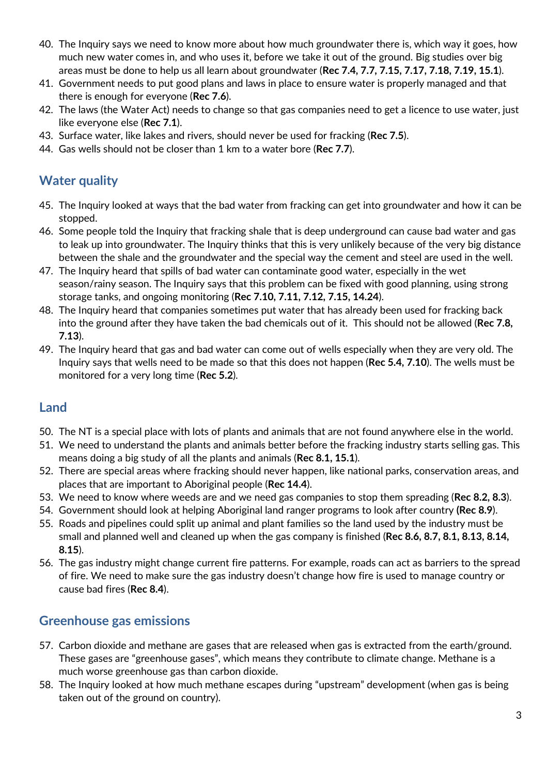- 40. The Inquiry says we need to know more about how much groundwater there is, which way it goes, how much new water comes in, and who uses it, before we take it out of the ground. Big studies over big areas must be done to help us all learn about groundwater (**Rec 7.4, 7.7, 7.15, 7.17, 7.18, 7.19, 15.1**).
- 41. Government needs to put good plans and laws in place to ensure water is properly managed and that there is enough for everyone (**Rec 7.6**).
- 42. The laws (the Water Act) needs to change so that gas companies need to get a licence to use water, just like everyone else (**Rec 7.1**).
- 43. Surface water, like lakes and rivers, should never be used for fracking (**Rec 7.5**).
- 44. Gas wells should not be closer than 1 km to a water bore (**Rec 7.7**).

#### **Water quality**

- 45. The Inquiry looked at ways that the bad water from fracking can get into groundwater and how it can be stopped.
- 46. Some people told the Inquiry that fracking shale that is deep underground can cause bad water and gas to leak up into groundwater. The Inquiry thinks that this is very unlikely because of the very big distance between the shale and the groundwater and the special way the cement and steel are used in the well.
- 47. The Inquiry heard that spills of bad water can contaminate good water, especially in the wet season/rainy season. The Inquiry says that this problem can be fixed with good planning, using strong storage tanks, and ongoing monitoring (**Rec 7.10, 7.11, 7.12, 7.15, 14.24**).
- 48. The Inquiry heard that companies sometimes put water that has already been used for fracking back into the ground after they have taken the bad chemicals out of it. This should not be allowed (**Rec 7.8, 7.13**).
- 49. The Inquiry heard that gas and bad water can come out of wells especially when they are very old. The Inquiry says that wells need to be made so that this does not happen (**Rec 5.4, 7.10**). The wells must be monitored for a very long time (**Rec 5.2**).

#### **Land**

- 50. The NT is a special place with lots of plants and animals that are not found anywhere else in the world.
- 51. We need to understand the plants and animals better before the fracking industry starts selling gas. This means doing a big study of all the plants and animals (**Rec 8.1, 15.1**).
- 52. There are special areas where fracking should never happen, like national parks, conservation areas, and places that are important to Aboriginal people (**Rec 14.4**).
- 53. We need to know where weeds are and we need gas companies to stop them spreading (**Rec 8.2, 8.3**).
- 54. Government should look at helping Aboriginal land ranger programs to look after country **(Rec 8.9**).
- 55. Roads and pipelines could split up animal and plant families so the land used by the industry must be small and planned well and cleaned up when the gas company is finished (**Rec 8.6, 8.7, 8.1, 8.13, 8.14, 8.15**).
- 56. The gas industry might change current fire patterns. For example, roads can act as barriers to the spread of fire. We need to make sure the gas industry doesn't change how fire is used to manage country or cause bad fires (**Rec 8.4**).

#### **Greenhouse gas emissions**

- 57. Carbon dioxide and methane are gases that are released when gas is extracted from the earth/ground. These gases are "greenhouse gases", which means they contribute to climate change. Methane is a much worse greenhouse gas than carbon dioxide.
- 58. The Inquiry looked at how much methane escapes during "upstream" development (when gas is being taken out of the ground on country).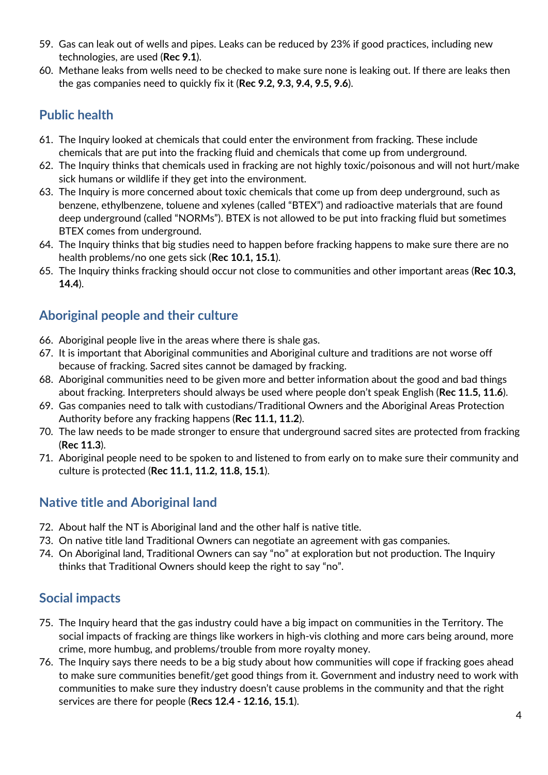- 59. Gas can leak out of wells and pipes. Leaks can be reduced by 23% if good practices, including new technologies, are used (**Rec 9.1**).
- 60. Methane leaks from wells need to be checked to make sure none is leaking out. If there are leaks then the gas companies need to quickly fix it (**Rec 9.2, 9.3, 9.4, 9.5, 9.6**).

## **Public health**

- 61. The Inquiry looked at chemicals that could enter the environment from fracking. These include chemicals that are put into the fracking fluid and chemicals that come up from underground.
- 62. The Inquiry thinks that chemicals used in fracking are not highly toxic/poisonous and will not hurt/make sick humans or wildlife if they get into the environment.
- 63. The Inquiry is more concerned about toxic chemicals that come up from deep underground, such as benzene, ethylbenzene, toluene and xylenes (called "BTEX") and radioactive materials that are found deep underground (called "NORMs"). BTEX is not allowed to be put into fracking fluid but sometimes BTEX comes from underground.
- 64. The Inquiry thinks that big studies need to happen before fracking happens to make sure there are no health problems/no one gets sick (**Rec 10.1, 15.1**).
- 65. The Inquiry thinks fracking should occur not close to communities and other important areas (**Rec 10.3, 14.4**).

#### **Aboriginal people and their culture**

- 66. Aboriginal people live in the areas where there is shale gas.
- 67. It is important that Aboriginal communities and Aboriginal culture and traditions are not worse off because of fracking. Sacred sites cannot be damaged by fracking.
- 68. Aboriginal communities need to be given more and better information about the good and bad things about fracking. Interpreters should always be used where people don't speak English (**Rec 11.5, 11.6**).
- 69. Gas companies need to talk with custodians/Traditional Owners and the Aboriginal Areas Protection Authority before any fracking happens (**Rec 11.1, 11.2**).
- 70. The law needs to be made stronger to ensure that underground sacred sites are protected from fracking (**Rec 11.3**).
- 71. Aboriginal people need to be spoken to and listened to from early on to make sure their community and culture is protected (**Rec 11.1, 11.2, 11.8, 15.1**).

#### **Native title and Aboriginal land**

- 72. About half the NT is Aboriginal land and the other half is native title.
- 73. On native title land Traditional Owners can negotiate an agreement with gas companies.
- 74. On Aboriginal land, Traditional Owners can say "no" at exploration but not production. The Inquiry thinks that Traditional Owners should keep the right to say "no".

#### **Social impacts**

- 75. The Inquiry heard that the gas industry could have a big impact on communities in the Territory. The social impacts of fracking are things like workers in high-vis clothing and more cars being around, more crime, more humbug, and problems/trouble from more royalty money.
- 76. The Inquiry says there needs to be a big study about how communities will cope if fracking goes ahead to make sure communities benefit/get good things from it. Government and industry need to work with communities to make sure they industry doesn't cause problems in the community and that the right services are there for people (**Recs 12.4 - 12.16, 15.1**).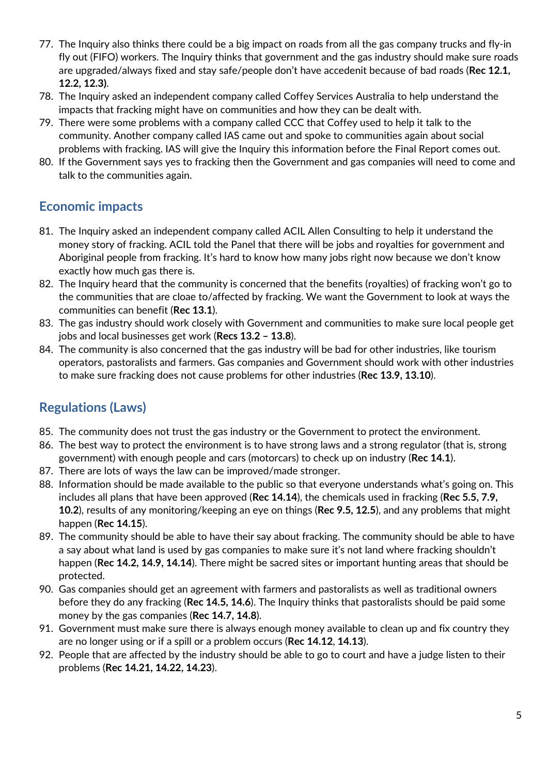- 77. The Inquiry also thinks there could be a big impact on roads from all the gas company trucks and fly-in fly out (FIFO) workers. The Inquiry thinks that government and the gas industry should make sure roads are upgraded/always fixed and stay safe/people don't have accedenit because of bad roads (**Rec 12.1, 12.2, 12.3)**.
- 78. The Inquiry asked an independent company called Coffey Services Australia to help understand the impacts that fracking might have on communities and how they can be dealt with.
- 79. There were some problems with a company called CCC that Coffey used to help it talk to the community. Another company called IAS came out and spoke to communities again about social problems with fracking. IAS will give the Inquiry this information before the Final Report comes out.
- 80. If the Government says yes to fracking then the Government and gas companies will need to come and talk to the communities again.

#### **Economic impacts**

- 81. The Inquiry asked an independent company called ACIL Allen Consulting to help it understand the money story of fracking. ACIL told the Panel that there will be jobs and royalties for government and Aboriginal people from fracking. It's hard to know how many jobs right now because we don't know exactly how much gas there is.
- 82. The Inquiry heard that the community is concerned that the benefits (royalties) of fracking won't go to the communities that are cloae to/affected by fracking. We want the Government to look at ways the communities can benefit (**Rec 13.1**).
- 83. The gas industry should work closely with Government and communities to make sure local people get jobs and local businesses get work (**Recs 13.2 – 13.8**).
- 84. The community is also concerned that the gas industry will be bad for other industries, like tourism operators, pastoralists and farmers. Gas companies and Government should work with other industries to make sure fracking does not cause problems for other industries (**Rec 13.9, 13.10**).

# **Regulations (Laws)**

- 85. The community does not trust the gas industry or the Government to protect the environment.
- 86. The best way to protect the environment is to have strong laws and a strong regulator (that is, strong government) with enough people and cars (motorcars) to check up on industry (**Rec 14.1**).
- 87. There are lots of ways the law can be improved/made stronger.
- 88. Information should be made available to the public so that everyone understands what's going on. This includes all plans that have been approved (**Rec 14.14**), the chemicals used in fracking (**Rec 5.5, 7.9, 10.2**), results of any monitoring/keeping an eye on things (**Rec 9.5, 12.5**), and any problems that might happen (**Rec 14.15**).
- 89. The community should be able to have their say about fracking. The community should be able to have a say about what land is used by gas companies to make sure it's not land where fracking shouldn't happen (**Rec 14.2, 14.9, 14.14**). There might be sacred sites or important hunting areas that should be protected.
- 90. Gas companies should get an agreement with farmers and pastoralists as well as traditional owners before they do any fracking (**Rec 14.5, 14.6**). The Inquiry thinks that pastoralists should be paid some money by the gas companies (**Rec 14.7, 14.8**).
- 91. Government must make sure there is always enough money available to clean up and fix country they are no longer using or if a spill or a problem occurs (**Rec 14.12**, **14.13**).
- 92. People that are affected by the industry should be able to go to court and have a judge listen to their problems (**Rec 14.21, 14.22, 14.23**).